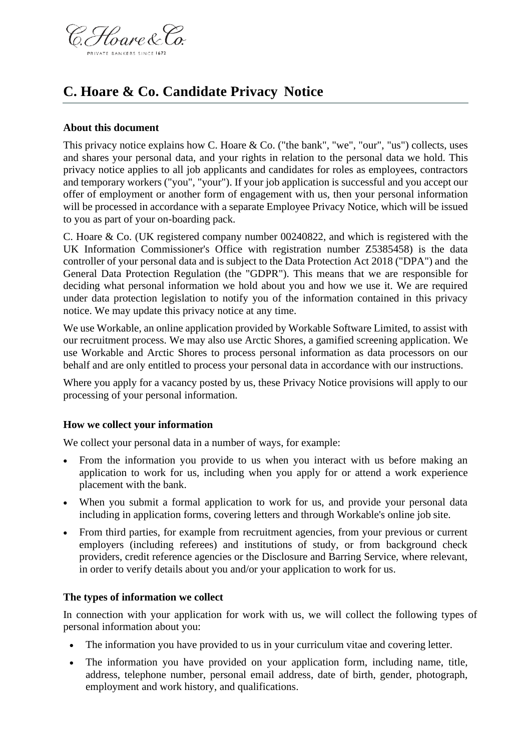

# **C. Hoare & Co. Candidate Privacy Notice**

#### **About this document**

This privacy notice explains how C. Hoare & Co. ("the bank", "we", "our", "us") collects, uses and shares your personal data, and your rights in relation to the personal data we hold. This privacy notice applies to all job applicants and candidates for roles as employees, contractors and temporary workers ("you", "your"). If your job application is successful and you accept our offer of employment or another form of engagement with us, then your personal information will be processed in accordance with a separate Employee Privacy Notice, which will be issued to you as part of your on-boarding pack.

C. Hoare & Co. (UK registered company number 00240822, and which is registered with the UK Information Commissioner's Office with registration number Z5385458) is the data controller of your personal data and is subject to the Data Protection Act 2018 ("DPA") and the General Data Protection Regulation (the "GDPR"). This means that we are responsible for deciding what personal information we hold about you and how we use it. We are required under data protection legislation to notify you of the information contained in this privacy notice. We may update this privacy notice at any time.

We use Workable, an online application provided by Workable Software Limited, to assist with our recruitment process. We may also use Arctic Shores, a gamified screening application. We use Workable and Arctic Shores to process personal information as data processors on our behalf and are only entitled to process your personal data in accordance with our instructions.

Where you apply for a vacancy posted by us, these Privacy Notice provisions will apply to our processing of your personal information.

#### **How we collect your information**

We collect your personal data in a number of ways, for example:

- From the information you provide to us when you interact with us before making an application to work for us, including when you apply for or attend a work experience placement with the bank.
- When you submit a formal application to work for us, and provide your personal data including in application forms, covering letters and through Workable's online job site.
- From third parties, for example from recruitment agencies, from your previous or current employers (including referees) and institutions of study, or from background check providers, credit reference agencies or the Disclosure and Barring Service, where relevant, in order to verify details about you and/or your application to work for us.

#### **The types of information we collect**

In connection with your application for work with us, we will collect the following types of personal information about you:

- The information you have provided to us in your curriculum vitae and covering letter.
- The information you have provided on your application form, including name, title, address, telephone number, personal email address, date of birth, gender, photograph, employment and work history, and qualifications.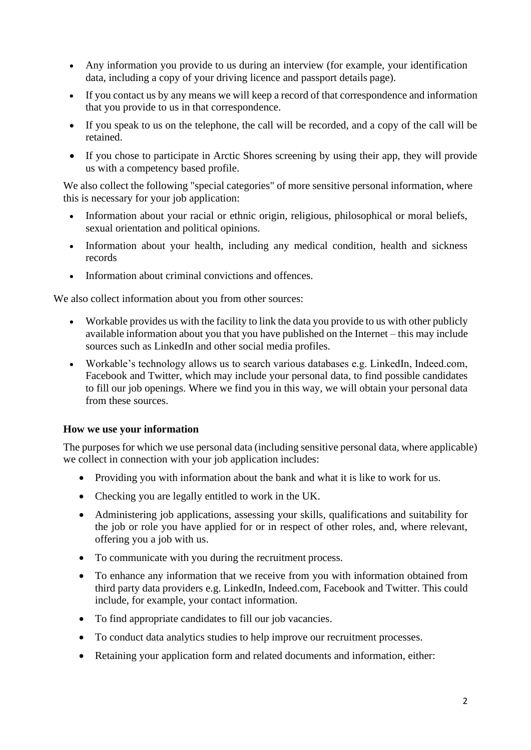- Any information you provide to us during an interview (for example, your identification data, including a copy of your driving licence and passport details page).
- If you contact us by any means we will keep a record of that correspondence and information that you provide to us in that correspondence.
- If you speak to us on the telephone, the call will be recorded, and a copy of the call will be retained.
- If you chose to participate in Arctic Shores screening by using their app, they will provide us with a competency based profile.

We also collect the following "special categories" of more sensitive personal information, where this is necessary for your job application:

- Information about your racial or ethnic origin, religious, philosophical or moral beliefs, sexual orientation and political opinions.
- Information about your health, including any medical condition, health and sickness records
- Information about criminal convictions and offences.

We also collect information about you from other sources:

- Workable provides us with the facility to link the data you provide to us with other publicly available information about you that you have published on the Internet – this may include sources such as LinkedIn and other social media profiles.
- Workable's technology allows us to search various databases e.g. LinkedIn, Indeed.com, Facebook and Twitter, which may include your personal data, to find possible candidates to fill our job openings. Where we find you in this way, we will obtain your personal data from these sources.

#### **How we use your information**

The purposes for which we use personal data (including sensitive personal data, where applicable) we collect in connection with your job application includes:

- Providing you with information about the bank and what it is like to work for us.
- Checking you are legally entitled to work in the UK.
- Administering job applications, assessing your skills, qualifications and suitability for the job or role you have applied for or in respect of other roles, and, where relevant, offering you a job with us.
- To communicate with you during the recruitment process.
- To enhance any information that we receive from you with information obtained from third party data providers e.g. LinkedIn, Indeed.com, Facebook and Twitter. This could include, for example, your contact information.
- To find appropriate candidates to fill our job vacancies.
- To conduct data analytics studies to help improve our recruitment processes.
- Retaining your application form and related documents and information, either: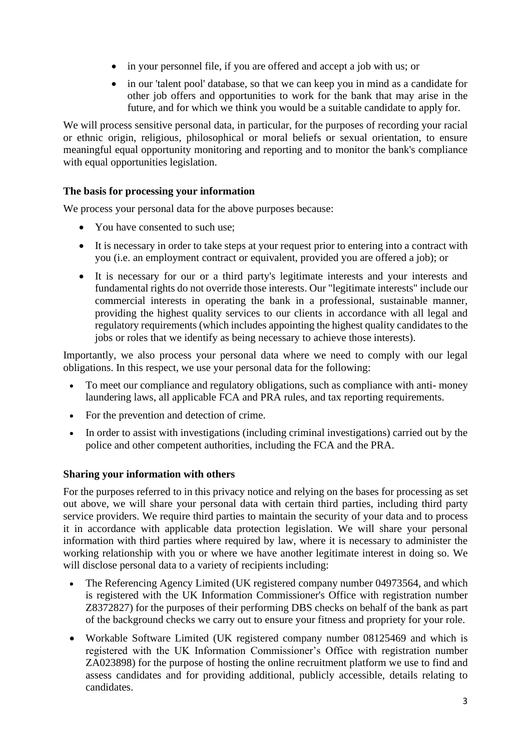- in your personnel file, if you are offered and accept a job with us; or
- in our 'talent pool' database, so that we can keep you in mind as a candidate for other job offers and opportunities to work for the bank that may arise in the future, and for which we think you would be a suitable candidate to apply for.

We will process sensitive personal data, in particular, for the purposes of recording your racial or ethnic origin, religious, philosophical or moral beliefs or sexual orientation, to ensure meaningful equal opportunity monitoring and reporting and to monitor the bank's compliance with equal opportunities legislation.

## **The basis for processing your information**

We process your personal data for the above purposes because:

- You have consented to such use;
- It is necessary in order to take steps at your request prior to entering into a contract with you (i.e. an employment contract or equivalent, provided you are offered a job); or
- It is necessary for our or a third party's legitimate interests and your interests and fundamental rights do not override those interests. Our "legitimate interests" include our commercial interests in operating the bank in a professional, sustainable manner, providing the highest quality services to our clients in accordance with all legal and regulatory requirements (which includes appointing the highest quality candidates to the jobs or roles that we identify as being necessary to achieve those interests).

Importantly, we also process your personal data where we need to comply with our legal obligations. In this respect, we use your personal data for the following:

- To meet our compliance and regulatory obligations, such as compliance with anti- money laundering laws, all applicable FCA and PRA rules, and tax reporting requirements.
- For the prevention and detection of crime.
- In order to assist with investigations (including criminal investigations) carried out by the police and other competent authorities, including the FCA and the PRA.

## **Sharing your information with others**

For the purposes referred to in this privacy notice and relying on the bases for processing as set out above, we will share your personal data with certain third parties, including third party service providers. We require third parties to maintain the security of your data and to process it in accordance with applicable data protection legislation. We will share your personal information with third parties where required by law, where it is necessary to administer the working relationship with you or where we have another legitimate interest in doing so. We will disclose personal data to a variety of recipients including:

- The Referencing Agency Limited (UK registered company number 04973564, and which is registered with the UK Information Commissioner's Office with registration number Z8372827) for the purposes of their performing DBS checks on behalf of the bank as part of the background checks we carry out to ensure your fitness and propriety for your role.
- Workable Software Limited (UK registered company number 08125469 and which is registered with the UK Information Commissioner's Office with registration number ZA023898) for the purpose of hosting the online recruitment platform we use to find and assess candidates and for providing additional, publicly accessible, details relating to candidates.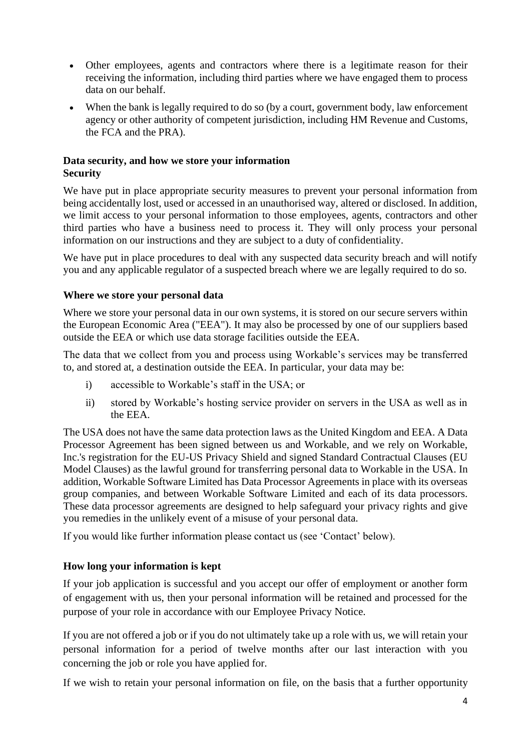- Other employees, agents and contractors where there is a legitimate reason for their receiving the information, including third parties where we have engaged them to process data on our behalf.
- When the bank is legally required to do so (by a court, government body, law enforcement agency or other authority of competent jurisdiction, including HM Revenue and Customs, the FCA and the PRA).

## **Data security, and how we store your information Security**

We have put in place appropriate security measures to prevent your personal information from being accidentally lost, used or accessed in an unauthorised way, altered or disclosed. In addition, we limit access to your personal information to those employees, agents, contractors and other third parties who have a business need to process it. They will only process your personal information on our instructions and they are subject to a duty of confidentiality.

We have put in place procedures to deal with any suspected data security breach and will notify you and any applicable regulator of a suspected breach where we are legally required to do so.

## **Where we store your personal data**

Where we store your personal data in our own systems, it is stored on our secure servers within the European Economic Area ("EEA"). It may also be processed by one of our suppliers based outside the EEA or which use data storage facilities outside the EEA.

The data that we collect from you and process using Workable's services may be transferred to, and stored at, a destination outside the EEA. In particular, your data may be:

- i) accessible to Workable's staff in the USA; or
- ii) stored by Workable's hosting service provider on servers in the USA as well as in the EEA.

The USA does not have the same data protection laws as the United Kingdom and EEA. A Data Processor Agreement has been signed between us and Workable, and we rely on Workable, Inc.'s registration for the EU-US Privacy Shield and signed Standard Contractual Clauses (EU Model Clauses) as the lawful ground for transferring personal data to Workable in the USA. In addition, Workable Software Limited has Data Processor Agreements in place with its overseas group companies, and between Workable Software Limited and each of its data processors. These data processor agreements are designed to help safeguard your privacy rights and give you remedies in the unlikely event of a misuse of your personal data.

If you would like further information please contact us (see 'Contact' below).

## **How long your information is kept**

If your job application is successful and you accept our offer of employment or another form of engagement with us, then your personal information will be retained and processed for the purpose of your role in accordance with our Employee Privacy Notice.

If you are not offered a job or if you do not ultimately take up a role with us, we will retain your personal information for a period of twelve months after our last interaction with you concerning the job or role you have applied for.

If we wish to retain your personal information on file, on the basis that a further opportunity